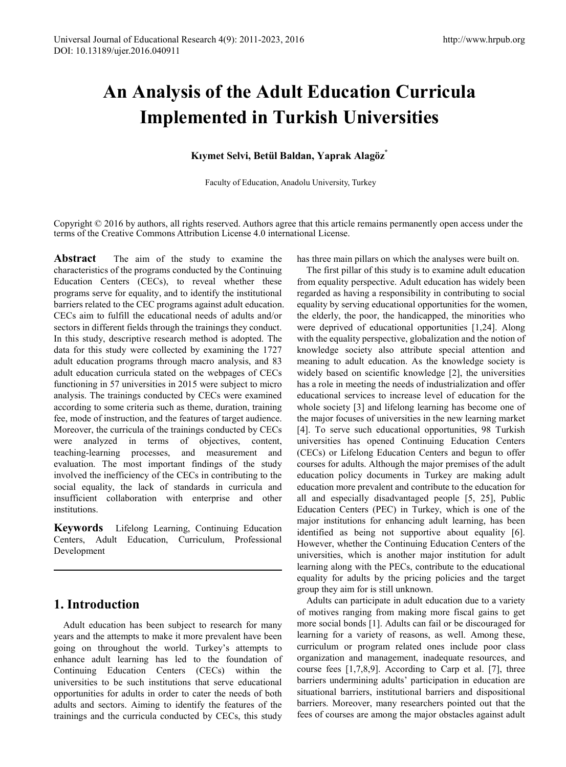# **An Analysis of the Adult Education Curricula Implemented in Turkish Universities**

## **Kıymet Selvi, Betül Baldan, Yaprak Alagöz\***

Faculty of Education, Anadolu University, Turkey

Copyright © 2016 by authors, all rights reserved. Authors agree that this article remains permanently open access under the terms of the Creative Commons Attribution License 4.0 international License.

**Abstract** The aim of the study to examine the characteristics of the programs conducted by the Continuing Education Centers (CECs), to reveal whether these programs serve for equality, and to identify the institutional barriers related to the CEC programs against adult education. CECs aim to fulfill the educational needs of adults and/or sectors in different fields through the trainings they conduct. In this study, descriptive research method is adopted. The data for this study were collected by examining the 1727 adult education programs through macro analysis, and 83 adult education curricula stated on the webpages of CECs functioning in 57 universities in 2015 were subject to micro analysis. The trainings conducted by CECs were examined according to some criteria such as theme, duration, training fee, mode of instruction, and the features of target audience. Moreover, the curricula of the trainings conducted by CECs were analyzed in terms of objectives, content, teaching-learning processes, and measurement and evaluation. The most important findings of the study involved the inefficiency of the CECs in contributing to the social equality, the lack of standards in curricula and insufficient collaboration with enterprise and other institutions.

**Keywords** Lifelong Learning, Continuing Education Centers, Adult Education, Curriculum, Professional Development

## **1. Introduction**

Adult education has been subject to research for many years and the attempts to make it more prevalent have been going on throughout the world. Turkey's attempts to enhance adult learning has led to the foundation of Continuing Education Centers (CECs) within the universities to be such institutions that serve educational opportunities for adults in order to cater the needs of both adults and sectors. Aiming to identify the features of the trainings and the curricula conducted by CECs, this study

has three main pillars on which the analyses were built on.

The first pillar of this study is to examine adult education from equality perspective. Adult education has widely been regarded as having a responsibility in contributing to social equality by serving educational opportunities for the women, the elderly, the poor, the handicapped, the minorities who were deprived of educational opportunities [1,24]. Along with the equality perspective, globalization and the notion of knowledge society also attribute special attention and meaning to adult education. As the knowledge society is widely based on scientific knowledge [2], the universities has a role in meeting the needs of industrialization and offer educational services to increase level of education for the whole society [3] and lifelong learning has become one of the major focuses of universities in the new learning market [4]. To serve such educational opportunities, 98 Turkish universities has opened Continuing Education Centers (CECs) or Lifelong Education Centers and begun to offer courses for adults. Although the major premises of the adult education policy documents in Turkey are making adult education more prevalent and contribute to the education for all and especially disadvantaged people [5, 25], Public Education Centers (PEC) in Turkey, which is one of the major institutions for enhancing adult learning, has been identified as being not supportive about equality [6]. However, whether the Continuing Education Centers of the universities, which is another major institution for adult learning along with the PECs, contribute to the educational equality for adults by the pricing policies and the target group they aim for is still unknown.

Adults can participate in adult education due to a variety of motives ranging from making more fiscal gains to get more social bonds [1]. Adults can fail or be discouraged for learning for a variety of reasons, as well. Among these, curriculum or program related ones include poor class organization and management, inadequate resources, and course fees [1,7,8,9]. According to Carp et al. [7], three barriers undermining adults' participation in education are situational barriers, institutional barriers and dispositional barriers. Moreover, many researchers pointed out that the fees of courses are among the major obstacles against adult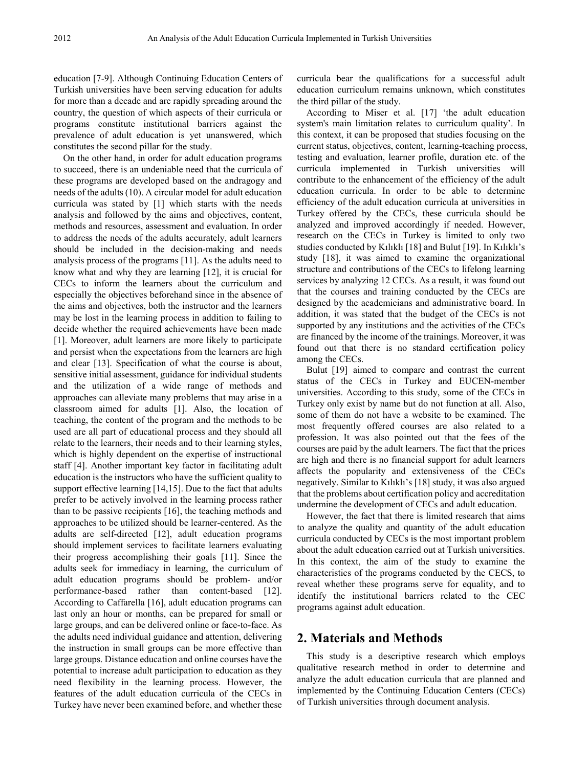education [7-9]. Although Continuing Education Centers of Turkish universities have been serving education for adults for more than a decade and are rapidly spreading around the country, the question of which aspects of their curricula or programs constitute institutional barriers against the prevalence of adult education is yet unanswered, which constitutes the second pillar for the study.

On the other hand, in order for adult education programs to succeed, there is an undeniable need that the curricula of these programs are developed based on the andragogy and needs of the adults (10). A circular model for adult education curricula was stated by [1] which starts with the needs analysis and followed by the aims and objectives, content, methods and resources, assessment and evaluation. In order to address the needs of the adults accurately, adult learners should be included in the decision-making and needs analysis process of the programs [11]. As the adults need to know what and why they are learning [12], it is crucial for CECs to inform the learners about the curriculum and especially the objectives beforehand since in the absence of the aims and objectives, both the instructor and the learners may be lost in the learning process in addition to failing to decide whether the required achievements have been made [1]. Moreover, adult learners are more likely to participate and persist when the expectations from the learners are high and clear [13]. Specification of what the course is about, sensitive initial assessment, guidance for individual students and the utilization of a wide range of methods and approaches can alleviate many problems that may arise in a classroom aimed for adults [1]. Also, the location of teaching, the content of the program and the methods to be used are all part of educational process and they should all relate to the learners, their needs and to their learning styles, which is highly dependent on the expertise of instructional staff [4]. Another important key factor in facilitating adult education is the instructors who have the sufficient quality to support effective learning [14,15]. Due to the fact that adults prefer to be actively involved in the learning process rather than to be passive recipients [16], the teaching methods and approaches to be utilized should be learner-centered. As the adults are self-directed [12], adult education programs should implement services to facilitate learners evaluating their progress accomplishing their goals [11]. Since the adults seek for immediacy in learning, the curriculum of adult education programs should be problem- and/or performance-based rather than content-based [12]. According to Caffarella [16], adult education programs can last only an hour or months, can be prepared for small or large groups, and can be delivered online or face-to-face. As the adults need individual guidance and attention, delivering the instruction in small groups can be more effective than large groups. Distance education and online courses have the potential to increase adult participation to education as they need flexibility in the learning process. However, the features of the adult education curricula of the CECs in Turkey have never been examined before, and whether these

curricula bear the qualifications for a successful adult education curriculum remains unknown, which constitutes the third pillar of the study.

According to Miser et al. [17] 'the adult education system's main limitation relates to curriculum quality'. In this context, it can be proposed that studies focusing on the current status, objectives, content, learning-teaching process, testing and evaluation, learner profile, duration etc. of the curricula implemented in Turkish universities will contribute to the enhancement of the efficiency of the adult education curricula. In order to be able to determine efficiency of the adult education curricula at universities in Turkey offered by the CECs, these curricula should be analyzed and improved accordingly if needed. However, research on the CECs in Turkey is limited to only two studies conducted by Kılıklı [18] and Bulut [19]. In Kılıklı's study [18], it was aimed to examine the organizational structure and contributions of the CECs to lifelong learning services by analyzing 12 CECs. As a result, it was found out that the courses and training conducted by the CECs are designed by the academicians and administrative board. In addition, it was stated that the budget of the CECs is not supported by any institutions and the activities of the CECs are financed by the income of the trainings. Moreover, it was found out that there is no standard certification policy among the CECs.

Bulut [19] aimed to compare and contrast the current status of the CECs in Turkey and EUCEN-member universities. According to this study, some of the CECs in Turkey only exist by name but do not function at all. Also, some of them do not have a website to be examined. The most frequently offered courses are also related to a profession. It was also pointed out that the fees of the courses are paid by the adult learners. The fact that the prices are high and there is no financial support for adult learners affects the popularity and extensiveness of the CECs negatively. Similar to Kılıklı's [18] study, it was also argued that the problems about certification policy and accreditation undermine the development of CECs and adult education.

However, the fact that there is limited research that aims to analyze the quality and quantity of the adult education curricula conducted by CECs is the most important problem about the adult education carried out at Turkish universities. In this context, the aim of the study to examine the characteristics of the programs conducted by the CECS, to reveal whether these programs serve for equality, and to identify the institutional barriers related to the CEC programs against adult education.

## **2. Materials and Methods**

This study is a descriptive research which employs qualitative research method in order to determine and analyze the adult education curricula that are planned and implemented by the Continuing Education Centers (CECs) of Turkish universities through document analysis.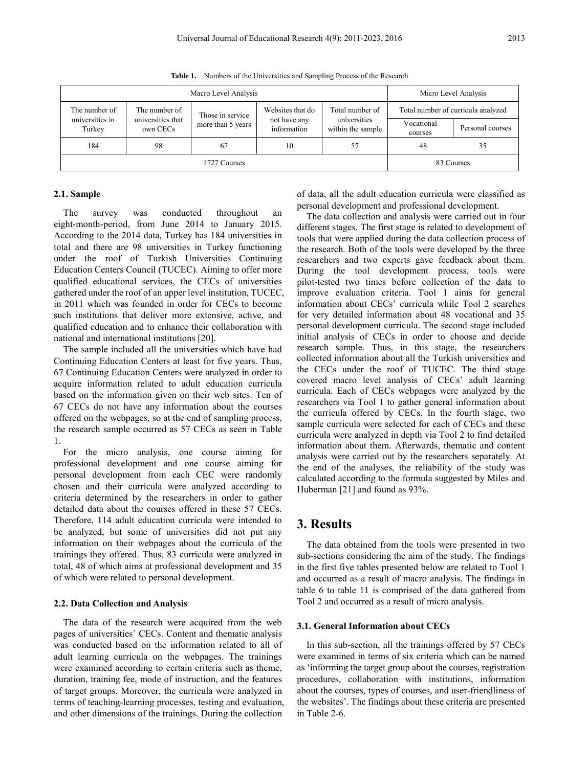|                           | Macro Level Analysis          | Micro Level Analysis                             |    |                                   |                       |                                    |
|---------------------------|-------------------------------|--------------------------------------------------|----|-----------------------------------|-----------------------|------------------------------------|
| The number of             |                               | The number of<br>Those in service                |    | Total number of                   |                       | Total number of curricula analyzed |
| universities in<br>Turkey | universities that<br>own CECs | not have any<br>more than 5 years<br>information |    | universities<br>within the sample | Vocational<br>courses | Personal courses                   |
| 184                       | 98                            | 67                                               | 10 | 57                                | 48                    | 35                                 |
| 1727 Courses              |                               |                                                  |    |                                   |                       | 83 Courses                         |

**Table 1.** Numbers of the Universities and Sampling Process of the Research

#### **2.1. Sample**

The survey was conducted throughout an eight-month-period, from June 2014 to January 2015. According to the 2014 data, Turkey has 184 universities in total and there are 98 universities in Turkey functioning under the roof of Turkish Universities Continuing Education Centers Council (TUCEC). Aiming to offer more qualified educational services, the CECs of universities gathered under the roof of an upper level institution, TUCEC, in 2011 which was founded in order for CECs to become such institutions that deliver more extensive, active, and qualified education and to enhance their collaboration with national and international institutions [20].

The sample included all the universities which have had Continuing Education Centers at least for five years. Thus, 67 Continuing Education Centers were analyzed in order to acquire information related to adult education curricula based on the information given on their web sites. Ten of 67 CECs do not have any information about the courses offered on the webpages, so at the end of sampling process, the research sample occurred as 57 CECs as seen in Table 1.

For the micro analysis, one course aiming for professional development and one course aiming for personal development from each CEC were randomly chosen and their curricula were analyzed according to criteria determined by the researchers in order to gather detailed data about the courses offered in these 57 CECs. Therefore, 114 adult education curricula were intended to be analyzed, but some of universities did not put any information on their webpages about the curricula of the trainings they offered. Thus, 83 curricula were analyzed in total, 48 of which aims at professional development and 35 of which were related to personal development.

#### **2.2. Data Collection and Analysis**

The data of the research were acquired from the web pages of universities' CECs. Content and thematic analysis was conducted based on the information related to all of adult learning curricula on the webpages. The trainings were examined according to certain criteria such as theme, duration, training fee, mode of instruction, and the features of target groups. Moreover, the curricula were analyzed in terms of teaching-learning processes, testing and evaluation, and other dimensions of the trainings. During the collection

of data, all the adult education curricula were classified as personal development and professional development.

The data collection and analysis were carried out in four different stages. The first stage is related to development of tools that were applied during the data collection process of the research. Both of the tools were developed by the three researchers and two experts gave feedback about them. During the tool development process, tools were pilot-tested two times before collection of the data to improve evaluation criteria. Tool 1 aims for general information about CECs' curricula while Tool 2 searches for very detailed information about 48 vocational and 35 personal development curricula. The second stage included initial analysis of CECs in order to choose and decide research sample. Thus, in this stage, the researchers collected information about all the Turkish universities and the CECs under the roof of TUCEC. The third stage covered macro level analysis of CECs' adult learning curricula. Each of CECs webpages were analyzed by the researchers via Tool 1 to gather general information about the curricula offered by CECs. In the fourth stage, two sample curricula were selected for each of CECs and these curricula were analyzed in depth via Tool 2 to find detailed information about them. Afterwards, thematic and content analysis were carried out by the researchers separately. At the end of the analyses, the reliability of the study was calculated according to the formula suggested by Miles and Huberman [21] and found as 93%.

## **3. Results**

The data obtained from the tools were presented in two sub-sections considering the aim of the study. The findings in the first five tables presented below are related to Tool 1 and occurred as a result of macro analysis. The findings in table 6 to table 11 is comprised of the data gathered from Tool 2 and occurred as a result of micro analysis.

#### **3.1. General Information about CECs**

In this sub-section, all the trainings offered by 57 CECs were examined in terms of six criteria which can be named as 'informing the target group about the courses, registration procedures, collaboration with institutions, information about the courses, types of courses, and user-friendliness of the websites'. The findings about these criteria are presented in Table 2-6.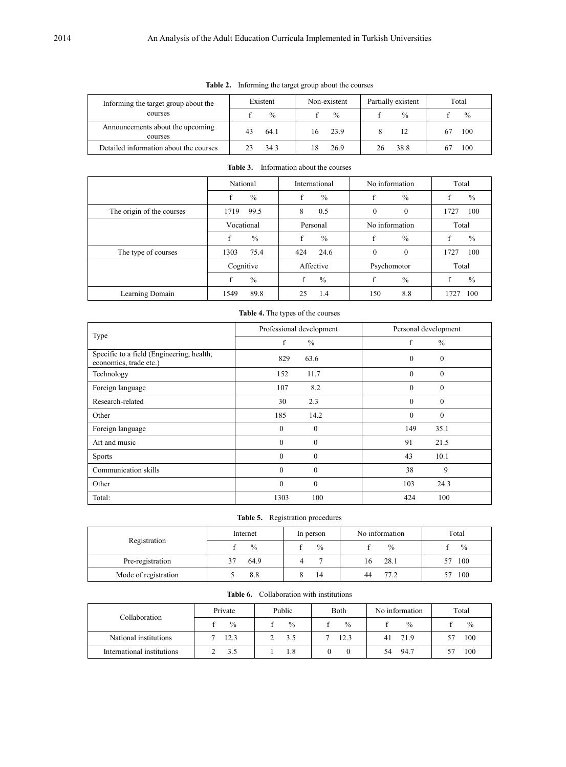| Informing the target group about the        | Existent |               | Non-existent |               | Partially existent |               | Total |               |
|---------------------------------------------|----------|---------------|--------------|---------------|--------------------|---------------|-------|---------------|
| courses                                     |          | $\frac{0}{0}$ |              | $\frac{0}{0}$ |                    | $\frac{0}{0}$ |       | $\frac{0}{0}$ |
| Announcements about the upcoming<br>courses |          | 64.1          | 16.          | 23.9          |                    | 12            |       | 100           |
| Detailed information about the courses      |          | 34.3          |              | 26.9          | 26                 | 38.8          |       | 100           |

#### **Table 2.** Informing the target group about the courses

|                           | National    |               | International |               | No information   |               | Total |               |
|---------------------------|-------------|---------------|---------------|---------------|------------------|---------------|-------|---------------|
|                           | $\mathbf f$ | $\frac{0}{0}$ | f             | $\frac{0}{0}$ | f                | $\%$          | £     | $\%$          |
| The origin of the courses | 1719        | 99.5          | 8             | 0.5           | $\boldsymbol{0}$ | $\mathbf{0}$  | 1727  | 100           |
|                           | Vocational  |               | Personal      |               | No information   |               | Total |               |
|                           | f           | $\frac{0}{0}$ | f             | $\frac{0}{0}$ | f                | $\frac{0}{0}$ |       | $\%$          |
| The type of courses       | 1303        | 75.4          | 424           | 24.6          | $\theta$         | $\Omega$      | 1727  | 100           |
|                           | Cognitive   |               | Affective     |               | Psychomotor      |               | Total |               |
|                           | f           | $\frac{0}{0}$ |               | $\%$          |                  | $\frac{0}{0}$ |       | $\frac{0}{0}$ |
| Learning Domain           | 1549        | 89.8          | 25            | 1.4           | 150              | 8.8           |       | 100           |

#### **Table 3.** Information about the courses

## **Table 4.** The types of the courses

|                                                                     | Professional development     | Personal development |  |  |
|---------------------------------------------------------------------|------------------------------|----------------------|--|--|
| Type                                                                | f<br>$\frac{0}{0}$           | f<br>$\frac{0}{0}$   |  |  |
| Specific to a field (Engineering, health,<br>economics, trade etc.) | 829<br>63.6                  | $\theta$<br>$\theta$ |  |  |
| Technology                                                          | 152<br>11.7                  | $\theta$<br>$\theta$ |  |  |
| Foreign language                                                    | 8.2<br>107                   | $\theta$<br>$\theta$ |  |  |
| Research-related                                                    | 30<br>2.3                    | $\theta$<br>$\theta$ |  |  |
| Other                                                               | 185<br>14.2                  | $\theta$<br>$\theta$ |  |  |
| Foreign language                                                    | $\mathbf{0}$<br>$\theta$     | 149<br>35.1          |  |  |
| Art and music                                                       | $\theta$<br>$\boldsymbol{0}$ | 91<br>21.5           |  |  |
| <b>Sports</b>                                                       | $\Omega$<br>$\theta$         | 10.1<br>43           |  |  |
| Communication skills                                                | $\theta$<br>$\mathbf{0}$     | 38<br>9              |  |  |
| Other                                                               | $\theta$<br>$\mathbf{0}$     | 103<br>24.3          |  |  |
| Total:                                                              | 100<br>1303                  | 100<br>424           |  |  |

| Table 5. | Registration procedures |  |
|----------|-------------------------|--|
|----------|-------------------------|--|

| Registration         | Internet      | In person     | No information | Total         |
|----------------------|---------------|---------------|----------------|---------------|
|                      | $\frac{0}{0}$ | $\frac{0}{0}$ | $\frac{0}{0}$  | $\frac{0}{0}$ |
| Pre-registration     | 64.9          |               | 28.1<br>16     | 100           |
| Mode of registration | 8.8           | 14            | 77 2<br>44     | 100           |

| Collaboration with institutions<br>Table 6. |
|---------------------------------------------|
|---------------------------------------------|

| Collaboration              | Private       | Public | <b>B</b> oth | No information | Total |
|----------------------------|---------------|--------|--------------|----------------|-------|
|                            | $\frac{0}{0}$ | $\%$   | $\%$         | $\%$           | $\%$  |
| National institutions      | 12.3          | 3.5    | 12.3         | 71.9<br>41     | 100   |
| International institutions | 3.5           | 1.8    |              | 94.7<br>54     | 100   |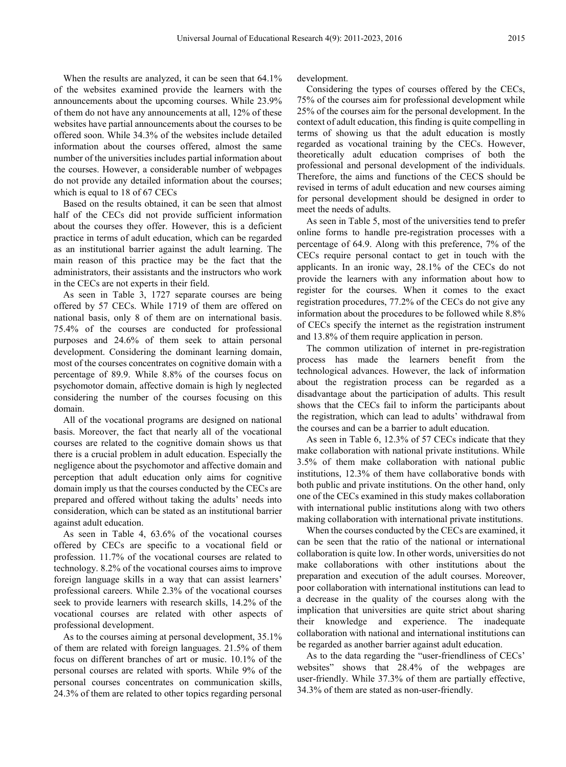When the results are analyzed, it can be seen that  $64.1\%$ of the websites examined provide the learners with the announcements about the upcoming courses. While 23.9% of them do not have any announcements at all, 12% of these websites have partial announcements about the courses to be offered soon. While 34.3% of the websites include detailed information about the courses offered, almost the same number of the universities includes partial information about the courses. However, a considerable number of webpages do not provide any detailed information about the courses; which is equal to 18 of 67 CECs

Based on the results obtained, it can be seen that almost half of the CECs did not provide sufficient information about the courses they offer. However, this is a deficient practice in terms of adult education, which can be regarded as an institutional barrier against the adult learning. The main reason of this practice may be the fact that the administrators, their assistants and the instructors who work in the CECs are not experts in their field.

As seen in Table 3, 1727 separate courses are being offered by 57 CECs. While 1719 of them are offered on national basis, only 8 of them are on international basis. 75.4% of the courses are conducted for professional purposes and 24.6% of them seek to attain personal development. Considering the dominant learning domain, most of the courses concentrates on cognitive domain with a percentage of 89.9. While 8.8% of the courses focus on psychomotor domain, affective domain is high ly neglected considering the number of the courses focusing on this domain.

All of the vocational programs are designed on national basis. Moreover, the fact that nearly all of the vocational courses are related to the cognitive domain shows us that there is a crucial problem in adult education. Especially the negligence about the psychomotor and affective domain and perception that adult education only aims for cognitive domain imply us that the courses conducted by the CECs are prepared and offered without taking the adults' needs into consideration, which can be stated as an institutional barrier against adult education.

As seen in Table 4, 63.6% of the vocational courses offered by CECs are specific to a vocational field or profession. 11.7% of the vocational courses are related to technology. 8.2% of the vocational courses aims to improve foreign language skills in a way that can assist learners' professional careers. While 2.3% of the vocational courses seek to provide learners with research skills, 14.2% of the vocational courses are related with other aspects of professional development.

As to the courses aiming at personal development, 35.1% of them are related with foreign languages. 21.5% of them focus on different branches of art or music. 10.1% of the personal courses are related with sports. While 9% of the personal courses concentrates on communication skills, 24.3% of them are related to other topics regarding personal development.

Considering the types of courses offered by the CECs, 75% of the courses aim for professional development while 25% of the courses aim for the personal development. In the context of adult education, this finding is quite compelling in terms of showing us that the adult education is mostly regarded as vocational training by the CECs. However, theoretically adult education comprises of both the professional and personal development of the individuals. Therefore, the aims and functions of the CECS should be revised in terms of adult education and new courses aiming for personal development should be designed in order to meet the needs of adults.

As seen in Table 5, most of the universities tend to prefer online forms to handle pre-registration processes with a percentage of 64.9. Along with this preference, 7% of the CECs require personal contact to get in touch with the applicants. In an ironic way, 28.1% of the CECs do not provide the learners with any information about how to register for the courses. When it comes to the exact registration procedures, 77.2% of the CECs do not give any information about the procedures to be followed while 8.8% of CECs specify the internet as the registration instrument and 13.8% of them require application in person.

The common utilization of internet in pre-registration process has made the learners benefit from the technological advances. However, the lack of information about the registration process can be regarded as a disadvantage about the participation of adults. This result shows that the CECs fail to inform the participants about the registration, which can lead to adults' withdrawal from the courses and can be a barrier to adult education.

As seen in Table 6, 12.3% of 57 CECs indicate that they make collaboration with national private institutions. While 3.5% of them make collaboration with national public institutions, 12.3% of them have collaborative bonds with both public and private institutions. On the other hand, only one of the CECs examined in this study makes collaboration with international public institutions along with two others making collaboration with international private institutions.

When the courses conducted by the CECs are examined, it can be seen that the ratio of the national or international collaboration is quite low. In other words, universities do not make collaborations with other institutions about the preparation and execution of the adult courses. Moreover, poor collaboration with international institutions can lead to a decrease in the quality of the courses along with the implication that universities are quite strict about sharing their knowledge and experience. The inadequate collaboration with national and international institutions can be regarded as another barrier against adult education.

As to the data regarding the "user-friendliness of CECs' websites" shows that 28.4% of the webpages are user-friendly. While 37.3% of them are partially effective, 34.3% of them are stated as non-user-friendly.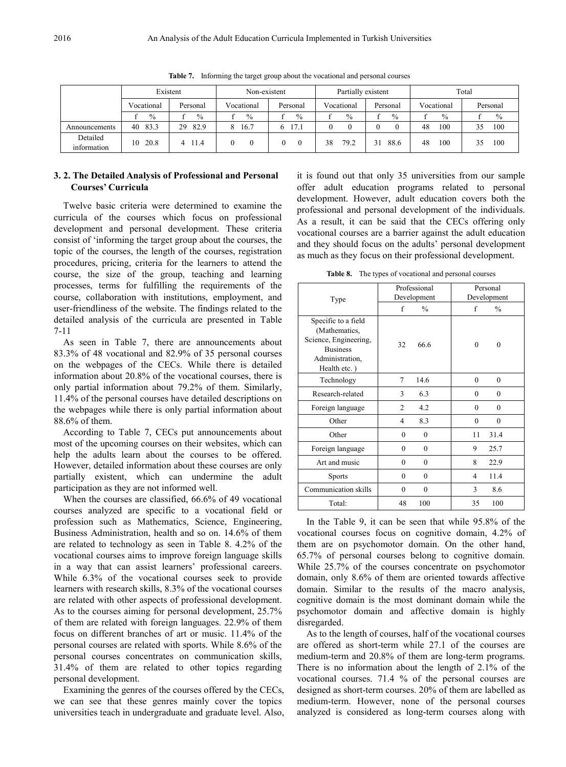|                         | Existent      |            | Non-existent  |               | Partially existent |               | Total         |           |
|-------------------------|---------------|------------|---------------|---------------|--------------------|---------------|---------------|-----------|
|                         | Vocational    | Personal   | Vocational    | Personal      | Vocational         | Personal      | Vocational    | Personal  |
|                         | $\frac{0}{0}$ | $\%$       | $\frac{0}{0}$ | $\frac{0}{0}$ | $\frac{0}{0}$      | $\frac{0}{0}$ | $\frac{0}{0}$ | $\%$      |
| Announcements           | 83.3<br>40    | 29<br>82.9 | 8<br>16.7     | 17.1<br>6     | 0                  |               | 48<br>100     | 100<br>35 |
| Detailed<br>information | 20.8<br>10    | 11.4       | $\mathbf{0}$  |               | 79.2<br>38         | 88.6<br>31    | 48<br>100     | 100<br>35 |

**Table 7.** Informing the target group about the vocational and personal courses

#### **3. 2. The Detailed Analysis of Professional and Personal Courses' Curricula**

Twelve basic criteria were determined to examine the curricula of the courses which focus on professional development and personal development. These criteria consist of 'informing the target group about the courses, the topic of the courses, the length of the courses, registration procedures, pricing, criteria for the learners to attend the course, the size of the group, teaching and learning processes, terms for fulfilling the requirements of the course, collaboration with institutions, employment, and user-friendliness of the website. The findings related to the detailed analysis of the curricula are presented in Table 7-11

As seen in Table 7, there are announcements about 83.3% of 48 vocational and 82.9% of 35 personal courses on the webpages of the CECs. While there is detailed information about 20.8% of the vocational courses, there is only partial information about 79.2% of them. Similarly, 11.4% of the personal courses have detailed descriptions on the webpages while there is only partial information about 88.6% of them.

According to Table 7, CECs put announcements about most of the upcoming courses on their websites, which can help the adults learn about the courses to be offered. However, detailed information about these courses are only partially existent, which can undermine the adult participation as they are not informed well.

When the courses are classified, 66.6% of 49 vocational courses analyzed are specific to a vocational field or profession such as Mathematics, Science, Engineering, Business Administration, health and so on. 14.6% of them are related to technology as seen in Table 8. 4.2% of the vocational courses aims to improve foreign language skills in a way that can assist learners' professional careers. While 6.3% of the vocational courses seek to provide learners with research skills, 8.3% of the vocational courses are related with other aspects of professional development. As to the courses aiming for personal development, 25.7% of them are related with foreign languages. 22.9% of them focus on different branches of art or music. 11.4% of the personal courses are related with sports. While 8.6% of the personal courses concentrates on communication skills, 31.4% of them are related to other topics regarding personal development.

Examining the genres of the courses offered by the CECs, we can see that these genres mainly cover the topics universities teach in undergraduate and graduate level. Also,

it is found out that only 35 universities from our sample offer adult education programs related to personal development. However, adult education covers both the professional and personal development of the individuals. As a result, it can be said that the CECs offering only vocational courses are a barrier against the adult education and they should focus on the adults' personal development as much as they focus on their professional development.

**Table 8.** The types of vocational and personal courses

|                                                                                                                     |                | Professional  |                  | Personal         |  |  |
|---------------------------------------------------------------------------------------------------------------------|----------------|---------------|------------------|------------------|--|--|
| Type                                                                                                                |                | Development   |                  | Development      |  |  |
|                                                                                                                     | f              | $\frac{0}{0}$ | f                | $\frac{0}{0}$    |  |  |
| Specific to a field<br>(Mathematics,<br>Science, Engineering,<br><b>Business</b><br>Administration,<br>Health etc.) | 32             | 66.6          | $\theta$         | $\theta$         |  |  |
| Technology                                                                                                          | 7              | 14.6          | $\boldsymbol{0}$ | $\theta$         |  |  |
| Research-related                                                                                                    | 3              | 6.3           | $\theta$         | $\theta$         |  |  |
| Foreign language                                                                                                    | $\overline{2}$ | 4.2           | $\theta$         | $\theta$         |  |  |
| Other                                                                                                               | 4              | 8.3           | $\theta$         | $\boldsymbol{0}$ |  |  |
| Other                                                                                                               | $\theta$       | $\theta$      | 11               | 31.4             |  |  |
| Foreign language                                                                                                    | $\theta$       | $\theta$      | 9                | 25.7             |  |  |
| Art and music                                                                                                       | $\theta$       | $\theta$      | 8                | 22.9             |  |  |
| <b>Sports</b>                                                                                                       | $\theta$       | $\theta$      | 4                | 11.4             |  |  |
| Communication skills                                                                                                | $\theta$       | $\theta$      | 3                | 8.6              |  |  |
| Total:                                                                                                              | 48             | 100           | 35               | 100              |  |  |

In the Table 9, it can be seen that while 95.8% of the vocational courses focus on cognitive domain, 4.2% of them are on psychomotor domain. On the other hand, 65.7% of personal courses belong to cognitive domain. While 25.7% of the courses concentrate on psychomotor domain, only 8.6% of them are oriented towards affective domain. Similar to the results of the macro analysis, cognitive domain is the most dominant domain while the psychomotor domain and affective domain is highly disregarded.

As to the length of courses, half of the vocational courses are offered as short-term while 27.1 of the courses are medium-term and 20.8% of them are long-term programs. There is no information about the length of 2.1% of the vocational courses. 71.4 % of the personal courses are designed as short-term courses. 20% of them are labelled as medium-term. However, none of the personal courses analyzed is considered as long-term courses along with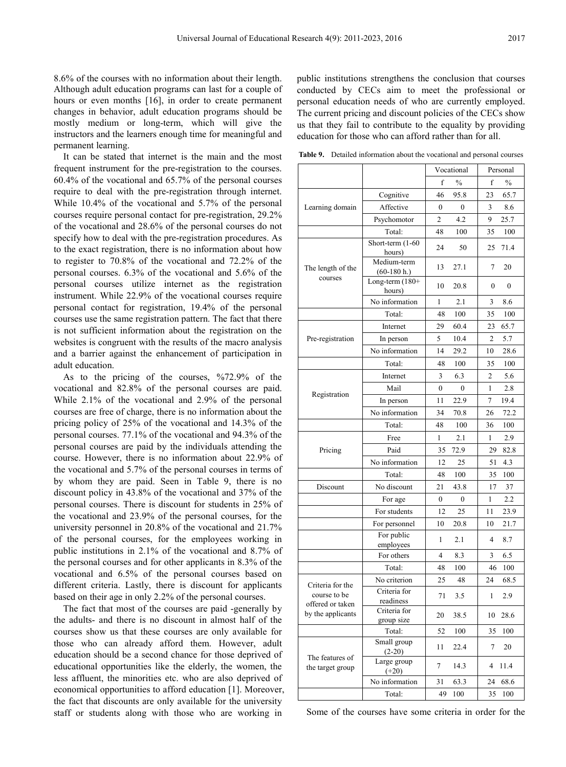8.6% of the courses with no information about their length. Although adult education programs can last for a couple of hours or even months [16], in order to create permanent changes in behavior, adult education programs should be mostly medium or long-term, which will give the instructors and the learners enough time for meaningful and permanent learning.

It can be stated that internet is the main and the most frequent instrument for the pre-registration to the courses. 60.4% of the vocational and 65.7% of the personal courses require to deal with the pre-registration through internet. While 10.4% of the vocational and 5.7% of the personal courses require personal contact for pre-registration, 29.2% of the vocational and 28.6% of the personal courses do not specify how to deal with the pre-registration procedures. As to the exact registration, there is no information about how to register to 70.8% of the vocational and 72.2% of the personal courses. 6.3% of the vocational and 5.6% of the personal courses utilize internet as the registration instrument. While 22.9% of the vocational courses require personal contact for registration, 19.4% of the personal courses use the same registration pattern. The fact that there is not sufficient information about the registration on the websites is congruent with the results of the macro analysis and a barrier against the enhancement of participation in adult education.

As to the pricing of the courses, %72.9% of the vocational and 82.8% of the personal courses are paid. While 2.1% of the vocational and 2.9% of the personal courses are free of charge, there is no information about the pricing policy of 25% of the vocational and 14.3% of the personal courses. 77.1% of the vocational and 94.3% of the personal courses are paid by the individuals attending the course. However, there is no information about 22.9% of the vocational and 5.7% of the personal courses in terms of by whom they are paid. Seen in Table 9, there is no discount policy in 43.8% of the vocational and 37% of the personal courses. There is discount for students in 25% of the vocational and 23.9% of the personal courses, for the university personnel in 20.8% of the vocational and 21.7% of the personal courses, for the employees working in public institutions in 2.1% of the vocational and 8.7% of the personal courses and for other applicants in 8.3% of the vocational and 6.5% of the personal courses based on different criteria. Lastly, there is discount for applicants based on their age in only 2.2% of the personal courses.

The fact that most of the courses are paid -generally by the adults- and there is no discount in almost half of the courses show us that these courses are only available for those who can already afford them. However, adult education should be a second chance for those deprived of educational opportunities like the elderly, the women, the less affluent, the minorities etc. who are also deprived of economical opportunities to afford education [1]. Moreover, the fact that discounts are only available for the university staff or students along with those who are working in

public institutions strengthens the conclusion that courses conducted by CECs aim to meet the professional or personal education needs of who are currently employed. The current pricing and discount policies of the CECs show us that they fail to contribute to the equality by providing education for those who can afford rather than for all.

**Table 9.** Detailed information about the vocational and personal courses

|                                  |                              | Vocational     |               | Personal     |                  |
|----------------------------------|------------------------------|----------------|---------------|--------------|------------------|
|                                  |                              | f              | $\frac{0}{0}$ | f            | $\frac{0}{0}$    |
|                                  | Cognitive                    | 46             | 95.8          | 23           | 65.7             |
| Learning domain                  | Affective                    | $\theta$       | $\theta$      | 3            | 8.6              |
|                                  | Psychomotor                  | 2              | 4.2           | 9            | 25.7             |
|                                  | Total:                       | 48             | 100           | 35           | 100              |
|                                  | Short-term (1-60<br>hours)   | 24             | 50            | 25           | 71.4             |
| The length of the                | Medium-term<br>$(60-180 h.)$ | 13             | 27.1          | 7            | 20               |
| courses                          | Long-term $(180+$<br>hours)  | 10             | 20.8          | 0            | $\boldsymbol{0}$ |
|                                  | No information               | 1              | 2.1           | 3            | 8.6              |
|                                  | Total:                       | 48             | 100           | 35           | 100              |
|                                  | Internet                     | 29             | 60.4          | 23           | 65.7             |
| Pre-registration                 | In person                    | 5              | 10.4          | 2            | 5.7              |
|                                  | No information               | 14             | 29.2          | 10           | 28.6             |
|                                  | Total:                       | 48             | 100           | 35           | 100              |
|                                  | Internet                     | 3              | 6.3           | 2            | 5.6              |
|                                  | Mail                         | $\theta$       | $\theta$      | 1            | 2.8              |
| Registration                     | In person                    | 11             | 22.9          | 7            | 19.4             |
|                                  | No information               | 34             | 70.8          | 26           | 72.2             |
|                                  | Total:                       | 48             | 100           | 36           | 100              |
|                                  | Free                         | 1              | 2.1           | 1            | 2.9              |
| Pricing                          | Paid                         | 35             | 72.9          | 29           | 82.8             |
|                                  | No information               | 12             | 25            | 51           | 4.3              |
|                                  | Total:                       | 48             | 100           | 35           | 100              |
| Discount                         | No discount                  | 21             | 43.8          | 17           | 37               |
|                                  | For age                      | $\overline{0}$ | 0             | 1            | 2.2              |
|                                  | For students                 | 12             | 25            | 11           | 23.9             |
|                                  | For personnel                | 10             | 20.8          | 10           | 21.7             |
|                                  | For public<br>employees      | 1              | 2.1           | 4            | 8.7              |
|                                  | For others                   | 4              | 8.3           | 3            | 6.5              |
|                                  | Total:                       | 48             | 100           | 46           | 100              |
| Criteria for the                 | No criterion                 | 25             | 48            | 24           | 68.5             |
| course to be<br>offered or taken | Criteria for<br>readiness    | 71             | 3.5           | $\mathbf{1}$ | 2.9              |
| by the applicants                | Criteria for<br>group size   | 20             | 38.5          | 10           | 28.6             |
|                                  | Total:                       | 52             | 100           | 35           | 100              |
| The features of                  | Small group<br>$(2-20)$      | 11             | 22.4          | 7            | 20               |
| the target group                 | Large group<br>$(+20)$       | 7              | 14.3          | 4            | 11.4             |
|                                  | No information               | 31             | 63.3          | 24           | 68.6             |
|                                  | Total:                       | 49             | 100           | 35           | 100              |

Some of the courses have some criteria in order for the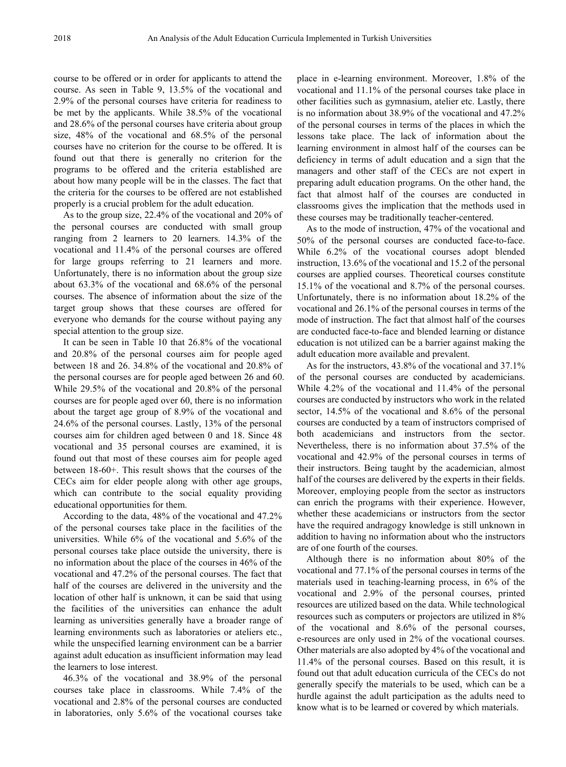course to be offered or in order for applicants to attend the course. As seen in Table 9, 13.5% of the vocational and 2.9% of the personal courses have criteria for readiness to be met by the applicants. While 38.5% of the vocational and 28.6% of the personal courses have criteria about group size, 48% of the vocational and 68.5% of the personal courses have no criterion for the course to be offered. It is found out that there is generally no criterion for the programs to be offered and the criteria established are about how many people will be in the classes. The fact that the criteria for the courses to be offered are not established properly is a crucial problem for the adult education.

As to the group size, 22.4% of the vocational and 20% of the personal courses are conducted with small group ranging from 2 learners to 20 learners. 14.3% of the vocational and 11.4% of the personal courses are offered for large groups referring to 21 learners and more. Unfortunately, there is no information about the group size about 63.3% of the vocational and 68.6% of the personal courses. The absence of information about the size of the target group shows that these courses are offered for everyone who demands for the course without paying any special attention to the group size.

It can be seen in Table 10 that 26.8% of the vocational and 20.8% of the personal courses aim for people aged between 18 and 26. 34.8% of the vocational and 20.8% of the personal courses are for people aged between 26 and 60. While 29.5% of the vocational and 20.8% of the personal courses are for people aged over 60, there is no information about the target age group of 8.9% of the vocational and 24.6% of the personal courses. Lastly, 13% of the personal courses aim for children aged between 0 and 18. Since 48 vocational and 35 personal courses are examined, it is found out that most of these courses aim for people aged between 18-60+. This result shows that the courses of the CECs aim for elder people along with other age groups, which can contribute to the social equality providing educational opportunities for them.

According to the data, 48% of the vocational and 47.2% of the personal courses take place in the facilities of the universities. While 6% of the vocational and 5.6% of the personal courses take place outside the university, there is no information about the place of the courses in 46% of the vocational and 47.2% of the personal courses. The fact that half of the courses are delivered in the university and the location of other half is unknown, it can be said that using the facilities of the universities can enhance the adult learning as universities generally have a broader range of learning environments such as laboratories or ateliers etc., while the unspecified learning environment can be a barrier against adult education as insufficient information may lead the learners to lose interest.

46.3% of the vocational and 38.9% of the personal courses take place in classrooms. While 7.4% of the vocational and 2.8% of the personal courses are conducted in laboratories, only 5.6% of the vocational courses take

place in e-learning environment. Moreover, 1.8% of the vocational and 11.1% of the personal courses take place in other facilities such as gymnasium, atelier etc. Lastly, there is no information about 38.9% of the vocational and 47.2% of the personal courses in terms of the places in which the lessons take place. The lack of information about the learning environment in almost half of the courses can be deficiency in terms of adult education and a sign that the managers and other staff of the CECs are not expert in preparing adult education programs. On the other hand, the fact that almost half of the courses are conducted in classrooms gives the implication that the methods used in these courses may be traditionally teacher-centered.

As to the mode of instruction, 47% of the vocational and 50% of the personal courses are conducted face-to-face. While 6.2% of the vocational courses adopt blended instruction, 13.6% of the vocational and 15.2 of the personal courses are applied courses. Theoretical courses constitute 15.1% of the vocational and 8.7% of the personal courses. Unfortunately, there is no information about 18.2% of the vocational and 26.1% of the personal courses in terms of the mode of instruction. The fact that almost half of the courses are conducted face-to-face and blended learning or distance education is not utilized can be a barrier against making the adult education more available and prevalent.

As for the instructors, 43.8% of the vocational and 37.1% of the personal courses are conducted by academicians. While 4.2% of the vocational and 11.4% of the personal courses are conducted by instructors who work in the related sector, 14.5% of the vocational and 8.6% of the personal courses are conducted by a team of instructors comprised of both academicians and instructors from the sector. Nevertheless, there is no information about 37.5% of the vocational and 42.9% of the personal courses in terms of their instructors. Being taught by the academician, almost half of the courses are delivered by the experts in their fields. Moreover, employing people from the sector as instructors can enrich the programs with their experience. However, whether these academicians or instructors from the sector have the required andragogy knowledge is still unknown in addition to having no information about who the instructors are of one fourth of the courses.

Although there is no information about 80% of the vocational and 77.1% of the personal courses in terms of the materials used in teaching-learning process, in 6% of the vocational and 2.9% of the personal courses, printed resources are utilized based on the data. While technological resources such as computers or projectors are utilized in 8% of the vocational and 8.6% of the personal courses, e-resources are only used in 2% of the vocational courses. Other materials are also adopted by 4% of the vocational and 11.4% of the personal courses. Based on this result, it is found out that adult education curricula of the CECs do not generally specify the materials to be used, which can be a hurdle against the adult participation as the adults need to know what is to be learned or covered by which materials.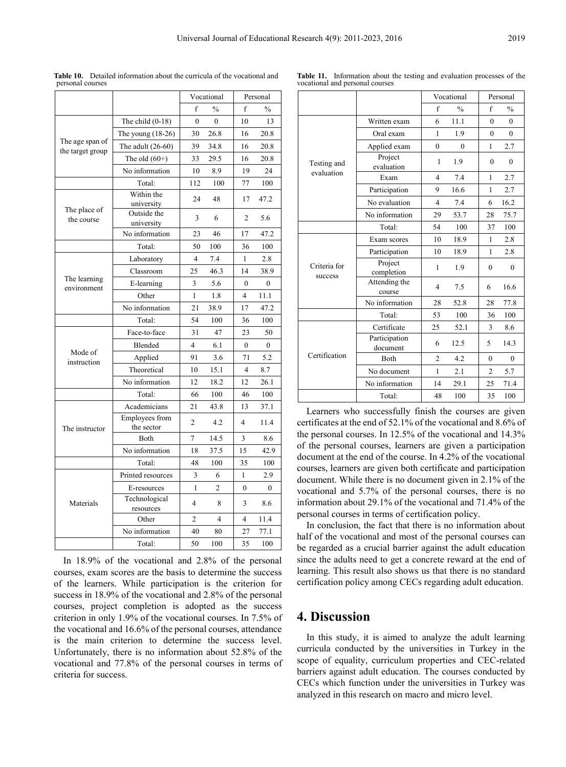|                                     |                              |                | Vocational     |                | Personal      |  |  |
|-------------------------------------|------------------------------|----------------|----------------|----------------|---------------|--|--|
|                                     |                              | f              | $\frac{0}{0}$  | f              | $\frac{0}{0}$ |  |  |
|                                     | The child $(0-18)$           | $\mathbf{0}$   | $\theta$       | 10             | 13            |  |  |
| The age span of<br>the target group | The young $(18-26)$          | 30             | 26.8           | 16             | 20.8          |  |  |
|                                     | The adult $(26-60)$          | 39             | 34.8           | 16             | 20.8          |  |  |
|                                     | The old $(60+)$              | 33             | 29.5           | 16             | 20.8          |  |  |
|                                     | No information               | 10             | 8.9            | 19             | 24            |  |  |
|                                     | Total:                       | 112            | 100            | 77             | 100           |  |  |
|                                     | Within the<br>university     | 24             | 48             | 17             | 47.2          |  |  |
| The place of<br>the course          | Outside the<br>university    | 3              | 6              | $\overline{c}$ | 5.6           |  |  |
|                                     | No information               | 23             | 46             | 17             | 47.2          |  |  |
|                                     | Total:                       | 50             | 100            | 36             | 100           |  |  |
|                                     | Laboratory                   | 4              | 7.4            | 1              | 2.8           |  |  |
|                                     | Classroom                    | 25             | 46.3           | 14             | 38.9          |  |  |
| The learning<br>environment         | E-learning                   | 3              | 5.6            | $\theta$       | $\theta$      |  |  |
|                                     | Other                        | 1              | 1.8            | $\overline{4}$ | 11.1          |  |  |
|                                     | No information               | 21             | 38.9           | 17             | 47.2          |  |  |
|                                     | Total:                       | 54             | 100            | 36             | 100           |  |  |
|                                     | Face-to-face                 | 31             | 47             | 23             | 50            |  |  |
|                                     | Blended                      | 4              | 6.1            | $\mathbf{0}$   | $\mathbf{0}$  |  |  |
| Mode of<br>instruction              | Applied                      | 91             | 3.6            | 71             | 5.2           |  |  |
|                                     | Theoretical                  | 10             | 15.1           | $\overline{4}$ | 8.7           |  |  |
|                                     | No information               | 12             | 18.2           | 12             | 26.1          |  |  |
|                                     | Total:                       | 66             | 100            | 46             | 100           |  |  |
|                                     | Academicians                 | 21             | 43.8           | 13             | 37.1          |  |  |
| The instructor                      | Employees from<br>the sector | $\overline{2}$ | 4.2            | 4              | 11.4          |  |  |
|                                     | Both                         | 7              | 14.5           | 3              | 8.6           |  |  |
|                                     | No information               | 18             | 37.5           | 15             | 42.9          |  |  |
|                                     | Total:                       | 48             | 100            | 35             | 100           |  |  |
|                                     | Printed resources            | $\overline{3}$ | 6              | $\mathbf{1}$   | 2.9           |  |  |
|                                     | E-resources                  | 1              | $\overline{2}$ | $\theta$       | 0             |  |  |
| Materials                           | Technological<br>resources   | 4              | 8              | 3              | 8.6           |  |  |
|                                     | Other                        | 2              | 4              | 4              | 11.4          |  |  |
|                                     | No information               | 40             | 80             | 27             | 77.1          |  |  |
|                                     | Total:                       | 50             | 100            | 35             | 100           |  |  |

In 18.9% of the vocational and 2.8% of the personal courses, exam scores are the basis to determine the success of the learners. While participation is the criterion for success in 18.9% of the vocational and 2.8% of the personal courses, project completion is adopted as the success criterion in only 1.9% of the vocational courses. In 7.5% of the vocational and 16.6% of the personal courses, attendance is the main criterion to determine the success level. Unfortunately, there is no information about 52.8% of the vocational and 77.8% of the personal courses in terms of

criteria for success.

**Table 10.** Detailed information about the curricula of the vocational and personal courses

**Table 11.** Information about the testing and evaluation processes of the vocational and personal courses

|                           |                           | Vocational     |               | Personal       |               |
|---------------------------|---------------------------|----------------|---------------|----------------|---------------|
|                           |                           | f              | $\frac{0}{0}$ | f              | $\frac{0}{0}$ |
| Testing and<br>evaluation | Written exam              | 6              | 11.1          | $\theta$       | $\theta$      |
|                           | Oral exam                 | 1              | 1.9           | $\mathbf{0}$   | $\theta$      |
|                           | Applied exam              | $\mathbf{0}$   | $\mathbf{0}$  | 1              | 2.7           |
|                           | Project<br>evaluation     | 1              | 1.9           | $\mathbf{0}$   | $\mathbf{0}$  |
|                           | Exam                      | 4              | 7.4           | 1              | 2.7           |
|                           | Participation             | 9              | 16.6          | 1              | 2.7           |
|                           | No evaluation             | 4              | 7.4           | 6              | 16.2          |
|                           | No information            | 29             | 53.7          | 28             | 75.7          |
|                           | Total:                    | 54             | 100           | 37             | 100           |
| Criteria for<br>success   | Exam scores               | 10             | 18.9          | 1              | 2.8           |
|                           | Participation             | 10             | 18.9          | 1              | 2.8           |
|                           | Project<br>completion     | 1              | 1.9           | $\mathbf{0}$   | $\mathbf{0}$  |
|                           | Attending the<br>course   | 4              | 7.5           | 6              | 16.6          |
|                           | No information            | 28             | 52.8          | 28             | 77.8          |
|                           | Total:                    | 53             | 100           | 36             | 100           |
| Certification             | Certificate               | 25             | 52.1          | 3              | 8.6           |
|                           | Participation<br>document | 6              | 12.5          | 5              | 14.3          |
|                           | Both                      | $\overline{c}$ | 4.2           | 0              | $\theta$      |
|                           | No document               | 1              | 2.1           | $\overline{2}$ | 5.7           |
|                           | No information            | 14             | 29.1          | 25             | 71.4          |
|                           | Total:                    | 48             | 100           | 35             | 100           |

Learners who successfully finish the courses are given certificates at the end of 52.1% of the vocational and 8.6% of the personal courses. In 12.5% of the vocational and 14.3% of the personal courses, learners are given a participation document at the end of the course. In 4.2% of the vocational courses, learners are given both certificate and participation document. While there is no document given in 2.1% of the vocational and 5.7% of the personal courses, there is no information about 29.1% of the vocational and 71.4% of the personal courses in terms of certification policy.

In conclusion, the fact that there is no information about half of the vocational and most of the personal courses can be regarded as a crucial barrier against the adult education since the adults need to get a concrete reward at the end of learning. This result also shows us that there is no standard certification policy among CECs regarding adult education.

**4. Discussion**

In this study, it is aimed to analyze the adult learning curricula conducted by the universities in Turkey in the scope of equality, curriculum properties and CEC-related barriers against adult education. The courses conducted by CECs which function under the universities in Turkey was analyzed in this research on macro and micro level.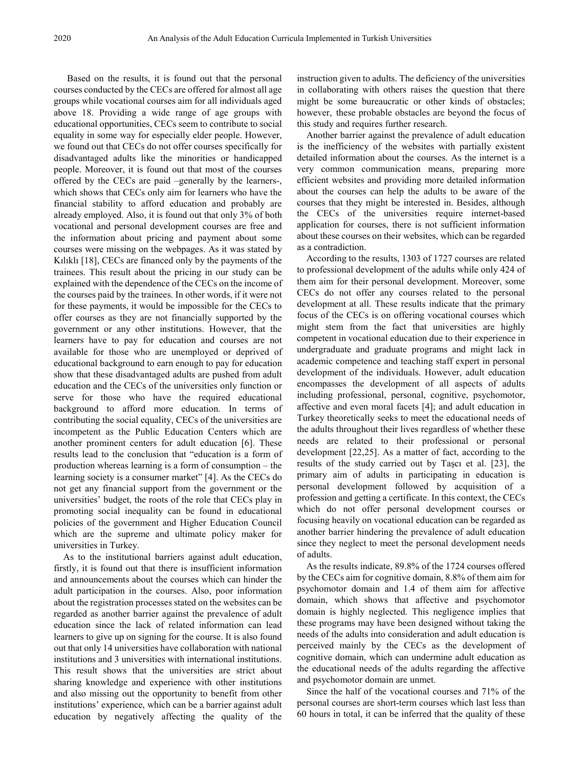Based on the results, it is found out that the personal courses conducted by the CECs are offered for almost all age groups while vocational courses aim for all individuals aged above 18. Providing a wide range of age groups with educational opportunities, CECs seem to contribute to social equality in some way for especially elder people. However, we found out that CECs do not offer courses specifically for disadvantaged adults like the minorities or handicapped people. Moreover, it is found out that most of the courses offered by the CECs are paid –generally by the learners-, which shows that CECs only aim for learners who have the financial stability to afford education and probably are already employed. Also, it is found out that only 3% of both vocational and personal development courses are free and the information about pricing and payment about some courses were missing on the webpages. As it was stated by Kılıklı [18], CECs are financed only by the payments of the trainees. This result about the pricing in our study can be explained with the dependence of the CECs on the income of the courses paid by the trainees. In other words, if it were not for these payments, it would be impossible for the CECs to offer courses as they are not financially supported by the government or any other institutions. However, that the learners have to pay for education and courses are not available for those who are unemployed or deprived of educational background to earn enough to pay for education show that these disadvantaged adults are pushed from adult education and the CECs of the universities only function or serve for those who have the required educational background to afford more education. In terms of contributing the social equality, CECs of the universities are incompetent as the Public Education Centers which are another prominent centers for adult education [6]. These results lead to the conclusion that "education is a form of production whereas learning is a form of consumption – the learning society is a consumer market" [4]. As the CECs do not get any financial support from the government or the universities' budget, the roots of the role that CECs play in promoting social inequality can be found in educational policies of the government and Higher Education Council which are the supreme and ultimate policy maker for universities in Turkey.

As to the institutional barriers against adult education, firstly, it is found out that there is insufficient information and announcements about the courses which can hinder the adult participation in the courses. Also, poor information about the registration processes stated on the websites can be regarded as another barrier against the prevalence of adult education since the lack of related information can lead learners to give up on signing for the course. It is also found out that only 14 universities have collaboration with national institutions and 3 universities with international institutions. This result shows that the universities are strict about sharing knowledge and experience with other institutions and also missing out the opportunity to benefit from other institutions' experience, which can be a barrier against adult education by negatively affecting the quality of the

instruction given to adults. The deficiency of the universities in collaborating with others raises the question that there might be some bureaucratic or other kinds of obstacles; however, these probable obstacles are beyond the focus of this study and requires further research.

Another barrier against the prevalence of adult education is the inefficiency of the websites with partially existent detailed information about the courses. As the internet is a very common communication means, preparing more efficient websites and providing more detailed information about the courses can help the adults to be aware of the courses that they might be interested in. Besides, although the CECs of the universities require internet-based application for courses, there is not sufficient information about these courses on their websites, which can be regarded as a contradiction.

According to the results, 1303 of 1727 courses are related to professional development of the adults while only 424 of them aim for their personal development. Moreover, some CECs do not offer any courses related to the personal development at all. These results indicate that the primary focus of the CECs is on offering vocational courses which might stem from the fact that universities are highly competent in vocational education due to their experience in undergraduate and graduate programs and might lack in academic competence and teaching staff expert in personal development of the individuals. However, adult education encompasses the development of all aspects of adults including professional, personal, cognitive, psychomotor, affective and even moral facets [4]; and adult education in Turkey theoretically seeks to meet the educational needs of the adults throughout their lives regardless of whether these needs are related to their professional or personal development [22,25]. As a matter of fact, according to the results of the study carried out by Taşcı et al. [23], the primary aim of adults in participating in education is personal development followed by acquisition of a profession and getting a certificate. In this context, the CECs which do not offer personal development courses or focusing heavily on vocational education can be regarded as another barrier hindering the prevalence of adult education since they neglect to meet the personal development needs of adults.

As the results indicate, 89.8% of the 1724 courses offered by the CECs aim for cognitive domain, 8.8% of them aim for psychomotor domain and 1.4 of them aim for affective domain, which shows that affective and psychomotor domain is highly neglected. This negligence implies that these programs may have been designed without taking the needs of the adults into consideration and adult education is perceived mainly by the CECs as the development of cognitive domain, which can undermine adult education as the educational needs of the adults regarding the affective and psychomotor domain are unmet.

Since the half of the vocational courses and 71% of the personal courses are short-term courses which last less than 60 hours in total, it can be inferred that the quality of these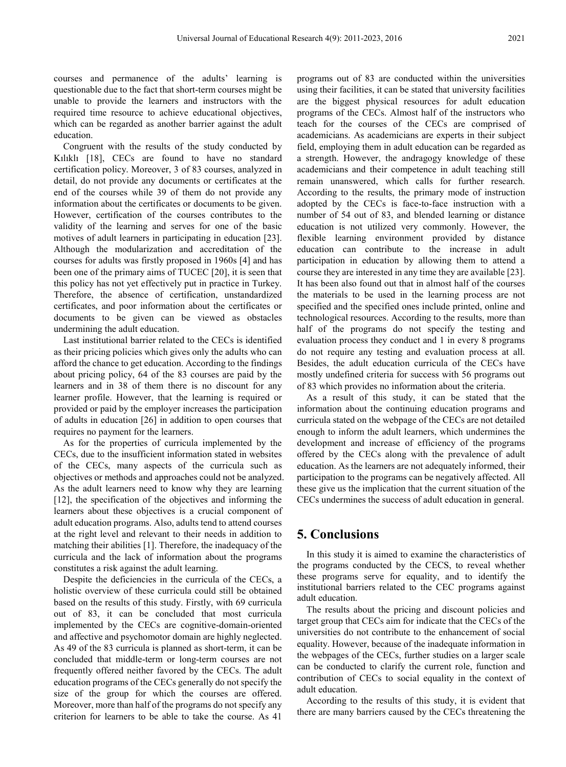courses and permanence of the adults' learning is questionable due to the fact that short-term courses might be unable to provide the learners and instructors with the required time resource to achieve educational objectives, which can be regarded as another barrier against the adult education.

Congruent with the results of the study conducted by Kılıklı [18], CECs are found to have no standard certification policy. Moreover, 3 of 83 courses, analyzed in detail, do not provide any documents or certificates at the end of the courses while 39 of them do not provide any information about the certificates or documents to be given. However, certification of the courses contributes to the validity of the learning and serves for one of the basic motives of adult learners in participating in education [23]. Although the modularization and accreditation of the courses for adults was firstly proposed in 1960s [4] and has been one of the primary aims of TUCEC [20], it is seen that this policy has not yet effectively put in practice in Turkey. Therefore, the absence of certification, unstandardized certificates, and poor information about the certificates or documents to be given can be viewed as obstacles undermining the adult education.

Last institutional barrier related to the CECs is identified as their pricing policies which gives only the adults who can afford the chance to get education. According to the findings about pricing policy, 64 of the 83 courses are paid by the learners and in 38 of them there is no discount for any learner profile. However, that the learning is required or provided or paid by the employer increases the participation of adults in education [26] in addition to open courses that requires no payment for the learners.

As for the properties of curricula implemented by the CECs, due to the insufficient information stated in websites of the CECs, many aspects of the curricula such as objectives or methods and approaches could not be analyzed. As the adult learners need to know why they are learning [12], the specification of the objectives and informing the learners about these objectives is a crucial component of adult education programs. Also, adults tend to attend courses at the right level and relevant to their needs in addition to matching their abilities [1]. Therefore, the inadequacy of the curricula and the lack of information about the programs constitutes a risk against the adult learning.

Despite the deficiencies in the curricula of the CECs, a holistic overview of these curricula could still be obtained based on the results of this study. Firstly, with 69 curricula out of 83, it can be concluded that most curricula implemented by the CECs are cognitive-domain-oriented and affective and psychomotor domain are highly neglected. As 49 of the 83 curricula is planned as short-term, it can be concluded that middle-term or long-term courses are not frequently offered neither favored by the CECs. The adult education programs of the CECs generally do not specify the size of the group for which the courses are offered. Moreover, more than half of the programs do not specify any criterion for learners to be able to take the course. As 41

programs out of 83 are conducted within the universities using their facilities, it can be stated that university facilities are the biggest physical resources for adult education programs of the CECs. Almost half of the instructors who teach for the courses of the CECs are comprised of academicians. As academicians are experts in their subject field, employing them in adult education can be regarded as a strength. However, the andragogy knowledge of these academicians and their competence in adult teaching still remain unanswered, which calls for further research. According to the results, the primary mode of instruction adopted by the CECs is face-to-face instruction with a number of 54 out of 83, and blended learning or distance education is not utilized very commonly. However, the flexible learning environment provided by distance education can contribute to the increase in adult participation in education by allowing them to attend a course they are interested in any time they are available [23]. It has been also found out that in almost half of the courses the materials to be used in the learning process are not specified and the specified ones include printed, online and technological resources. According to the results, more than half of the programs do not specify the testing and evaluation process they conduct and 1 in every 8 programs do not require any testing and evaluation process at all. Besides, the adult education curricula of the CECs have mostly undefined criteria for success with 56 programs out of 83 which provides no information about the criteria.

As a result of this study, it can be stated that the information about the continuing education programs and curricula stated on the webpage of the CECs are not detailed enough to inform the adult learners, which undermines the development and increase of efficiency of the programs offered by the CECs along with the prevalence of adult education. As the learners are not adequately informed, their participation to the programs can be negatively affected. All these give us the implication that the current situation of the CECs undermines the success of adult education in general.

## **5. Conclusions**

In this study it is aimed to examine the characteristics of the programs conducted by the CECS, to reveal whether these programs serve for equality, and to identify the institutional barriers related to the CEC programs against adult education.

The results about the pricing and discount policies and target group that CECs aim for indicate that the CECs of the universities do not contribute to the enhancement of social equality. However, because of the inadequate information in the webpages of the CECs, further studies on a larger scale can be conducted to clarify the current role, function and contribution of CECs to social equality in the context of adult education.

According to the results of this study, it is evident that there are many barriers caused by the CECs threatening the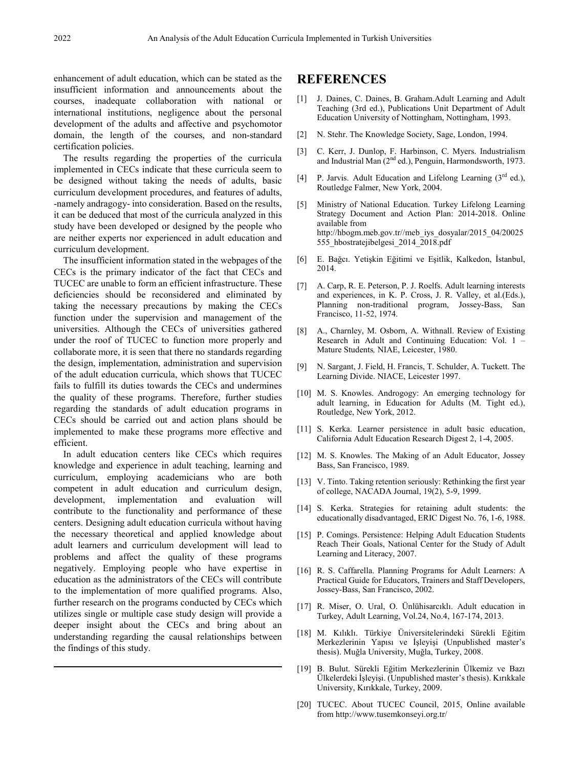enhancement of adult education, which can be stated as the insufficient information and announcements about the courses, inadequate collaboration with national or international institutions, negligence about the personal development of the adults and affective and psychomotor domain, the length of the courses, and non-standard certification policies.

The results regarding the properties of the curricula implemented in CECs indicate that these curricula seem to be designed without taking the needs of adults, basic curriculum development procedures, and features of adults, -namely andragogy- into consideration. Based on the results, it can be deduced that most of the curricula analyzed in this study have been developed or designed by the people who are neither experts nor experienced in adult education and curriculum development.

The insufficient information stated in the webpages of the CECs is the primary indicator of the fact that CECs and TUCEC are unable to form an efficient infrastructure. These deficiencies should be reconsidered and eliminated by taking the necessary precautions by making the CECs function under the supervision and management of the universities. Although the CECs of universities gathered under the roof of TUCEC to function more properly and collaborate more, it is seen that there no standards regarding the design, implementation, administration and supervision of the adult education curricula, which shows that TUCEC fails to fulfill its duties towards the CECs and undermines the quality of these programs. Therefore, further studies regarding the standards of adult education programs in CECs should be carried out and action plans should be implemented to make these programs more effective and efficient.

In adult education centers like CECs which requires knowledge and experience in adult teaching, learning and curriculum, employing academicians who are both competent in adult education and curriculum design, development, implementation and evaluation will contribute to the functionality and performance of these centers. Designing adult education curricula without having the necessary theoretical and applied knowledge about adult learners and curriculum development will lead to problems and affect the quality of these programs negatively. Employing people who have expertise in education as the administrators of the CECs will contribute to the implementation of more qualified programs. Also, further research on the programs conducted by CECs which utilizes single or multiple case study design will provide a deeper insight about the CECs and bring about an understanding regarding the causal relationships between the findings of this study.

### **REFERENCES**

- [1] J. Daines, C. Daines, B. Graham.Adult Learning and Adult Teaching (3rd ed.), Publications Unit Department of Adult Education University of Nottingham, Nottingham, 1993.
- [2] N. Stehr. The Knowledge Society, Sage, London, 1994.
- [3] C. Kerr, J. Dunlop, F. Harbinson, C. Myers. Industrialism and Industrial Man (2nd ed.), Penguin, Harmondsworth, 1973.
- [4] P. Jarvis. Adult Education and Lifelong Learning  $(3<sup>rd</sup> ed.),$ Routledge Falmer, New York, 2004.
- [5] Ministry of National Education. Turkey Lifelong Learning Strategy Document and Action Plan: 2014-2018. Online available from http://hbogm.meb.gov.tr//meb\_iys\_dosyalar/2015\_04/20025 555\_hbostratejibelgesi\_2014\_2018.pdf
- [6] E. Bağcı. Yetişkin Eğitimi ve Eşitlik, Kalkedon, İstanbul, 2014.
- [7] A. Carp, R. E. Peterson, P. J. Roelfs. Adult learning interests and experiences, in K. P. Cross, J. R. Valley, et al.(Eds.), Planning non-traditional program, Jossey-Bass, San Francisco, 11-52, 1974.
- [8] A., Charnley, M. Osborn, A. Withnall. Review of Existing Research in Adult and Continuing Education: Vol. 1 – Mature Students*,* NIAE, Leicester, 1980.
- [9] N. Sargant, J. Field, H. Francis, T. Schulder, A. Tuckett. The Learning Divide. NIACE, Leicester 1997.
- [10] M. S. Knowles. Androgogy: An emerging technology for adult learning, in Education for Adults (M. Tight ed.), Routledge, New York, 2012.
- [11] S. Kerka. Learner persistence in adult basic education, California Adult Education Research Digest 2, 1-4, 2005.
- [12] M. S. Knowles. The Making of an Adult Educator, Jossey Bass, San Francisco, 1989.
- [13] V. Tinto. Taking retention seriously: Rethinking the first year of college, NACADA Journal, 19(2), 5-9, 1999.
- [14] S. Kerka. Strategies for retaining adult students: the educationally disadvantaged, ERIC Digest No. 76, 1-6, 1988.
- [15] P. Comings. Persistence: Helping Adult Education Students Reach Their Goals, National Center for the Study of Adult Learning and Literacy, 2007.
- [16] R. S. Caffarella. Planning Programs for Adult Learners: A Practical Guide for Educators, Trainers and Staff Developers, Jossey-Bass, San Francisco, 2002.
- [17] R. Miser, O. Ural, O. Ünlühisarcıklı. Adult education in Turkey, Adult Learning, Vol.24, No.4, 167-174, 2013.
- [18] M. Kılıklı. Türkiye Üniversitelerindeki Sürekli Eğitim Merkezlerinin Yapısı ve İşleyişi (Unpublished master's thesis). Muğla University, Muğla, Turkey, 2008.
- [19] B. Bulut. Sürekli Eğitim Merkezlerinin Ülkemiz ve Bazı Ülkelerdeki İşleyişi. (Unpublished master's thesis). Kırıkkale University, Kırıkkale, Turkey, 2009.
- [20] TUCEC. About TUCEC Council, 2015, Online available from http://www.tusemkonseyi.org.tr/